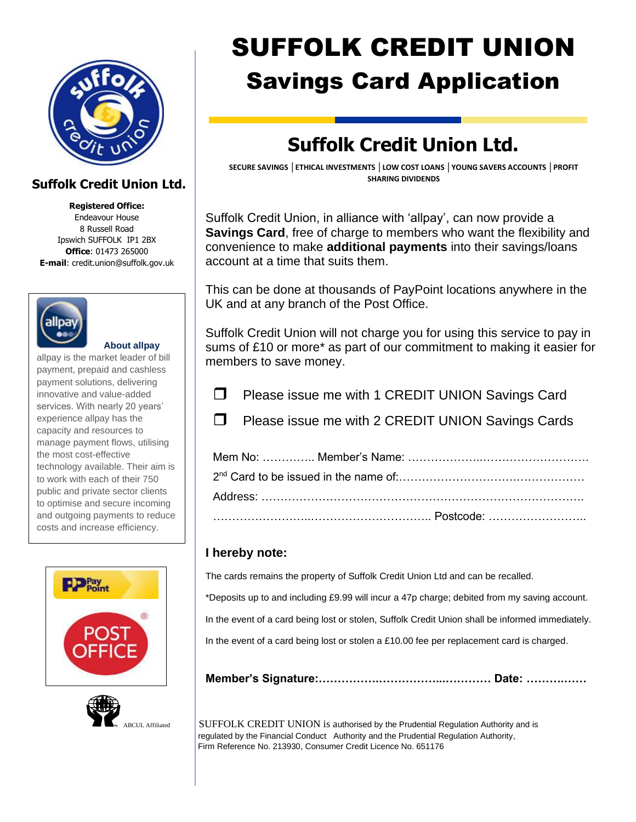

## **Suffolk Credit Union Ltd.**

**Registered Office:**

Endeavour House 8 Russell Road Ipswich SUFFOLK IP1 2BX **Office**: 01473 265000 **E-mail**: credit.union@suffolk.gov.uk



 **About allpay**

allpay is the market leader of bill payment, prepaid and cashless payment solutions, delivering innovative and value-added services. With nearly 20 years' experience allpay has the capacity and resources to manage payment flows, utilising the most cost-effective technology available. Their aim is to work with each of their 750 public and private sector clients to optimise and secure incoming and outgoing payments to reduce costs and increase efficiency.





# SUFFOLK CREDIT UNION Savings Card Application

## **Suffolk Credit Union Ltd.**

**SECURE SAVINGS │ETHICAL INVESTMENTS │LOW COST LOANS │YOUNG SAVERS ACCOUNTS │PROFIT SHARING DIVIDENDS**

Suffolk Credit Union, in alliance with 'allpay', can now provide a **Savings Card**, free of charge to members who want the flexibility and convenience to make **additional payments** into their savings/loans account at a time that suits them.

This can be done at thousands of PayPoint locations anywhere in the UK and at any branch of the Post Office.

Suffolk Credit Union will not charge you for using this service to pay in sums of £10 or more\* as part of our commitment to making it easier for members to save money.

 $\Box$  Please issue me with 1 CREDIT UNION Savings Card

 $\Box$  Please issue me with 2 CREDIT UNION Savings Cards

## **I hereby note:**

The cards remains the property of Suffolk Credit Union Ltd and can be recalled.

\*Deposits up to and including £9.99 will incur a 47p charge; debited from my saving account.

In the event of a card being lost or stolen, Suffolk Credit Union shall be informed immediately.

In the event of a card being lost or stolen a £10.00 fee per replacement card is charged.

**Member's Signature:…………….……………...………… Date: ……….……**

BCUL Affiliated SUFFOLK CREDIT UNION is authorised by the Prudential Regulation Authority and is regulated by the Financial Conduct Authority and the Prudential Regulation Authority, Firm Reference No. 213930, Consumer Credit Licence No. 651176